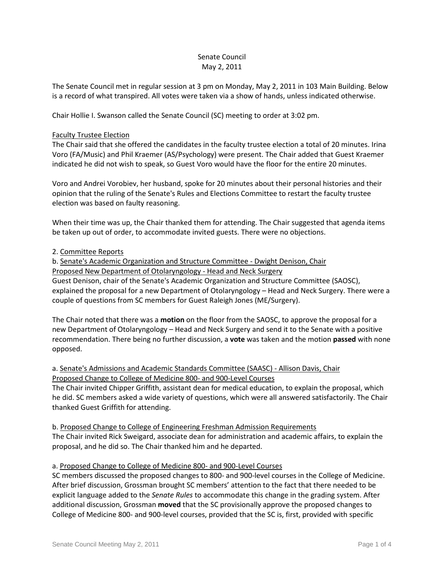# Senate Council May 2, 2011

The Senate Council met in regular session at 3 pm on Monday, May 2, 2011 in 103 Main Building. Below is a record of what transpired. All votes were taken via a show of hands, unless indicated otherwise.

Chair Hollie I. Swanson called the Senate Council (SC) meeting to order at 3:02 pm.

### Faculty Trustee Election

The Chair said that she offered the candidates in the faculty trustee election a total of 20 minutes. Irina Voro (FA/Music) and Phil Kraemer (AS/Psychology) were present. The Chair added that Guest Kraemer indicated he did not wish to speak, so Guest Voro would have the floor for the entire 20 minutes.

Voro and Andrei Vorobiev, her husband, spoke for 20 minutes about their personal histories and their opinion that the ruling of the Senate's Rules and Elections Committee to restart the faculty trustee election was based on faulty reasoning.

When their time was up, the Chair thanked them for attending. The Chair suggested that agenda items be taken up out of order, to accommodate invited guests. There were no objections.

# 2. Committee Reports

b. Senate's Academic Organization and Structure Committee - Dwight Denison, Chair Proposed New Department of Otolaryngology - Head and Neck Surgery Guest Denison, chair of the Senate's Academic Organization and Structure Committee (SAOSC), explained the proposal for a new Department of Otolaryngology – Head and Neck Surgery. There were a couple of questions from SC members for Guest Raleigh Jones (ME/Surgery).

The Chair noted that there was a **motion** on the floor from the SAOSC, to approve the proposal for a new Department of Otolaryngology – Head and Neck Surgery and send it to the Senate with a positive recommendation. There being no further discussion, a **vote** was taken and the motion **passed** with none opposed.

# a. Senate's Admissions and Academic Standards Committee (SAASC) - Allison Davis, Chair Proposed Change to College of Medicine 800- and 900-Level Courses

The Chair invited Chipper Griffith, assistant dean for medical education, to explain the proposal, which he did. SC members asked a wide variety of questions, which were all answered satisfactorily. The Chair thanked Guest Griffith for attending.

b. Proposed Change to College of Engineering Freshman Admission Requirements The Chair invited Rick Sweigard, associate dean for administration and academic affairs, to explain the proposal, and he did so. The Chair thanked him and he departed.

# a. Proposed Change to College of Medicine 800- and 900-Level Courses

SC members discussed the proposed changes to 800- and 900-level courses in the College of Medicine. After brief discussion, Grossman brought SC members' attention to the fact that there needed to be explicit language added to the *Senate Rules* to accommodate this change in the grading system. After additional discussion, Grossman **moved** that the SC provisionally approve the proposed changes to College of Medicine 800- and 900-level courses, provided that the SC is, first, provided with specific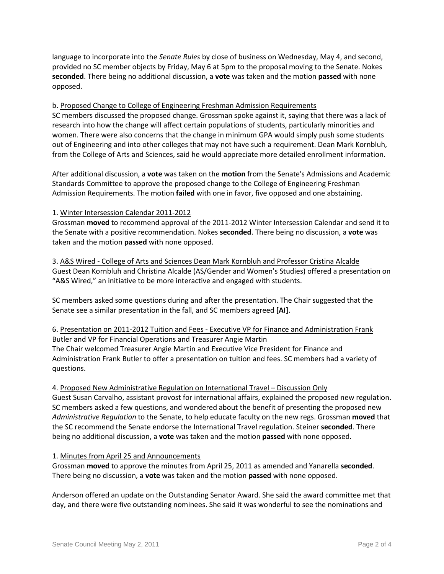language to incorporate into the *Senate Rules* by close of business on Wednesday, May 4, and second, provided no SC member objects by Friday, May 6 at 5pm to the proposal moving to the Senate. Nokes **seconded**. There being no additional discussion, a **vote** was taken and the motion **passed** with none opposed.

# b. Proposed Change to College of Engineering Freshman Admission Requirements

SC members discussed the proposed change. Grossman spoke against it, saying that there was a lack of research into how the change will affect certain populations of students, particularly minorities and women. There were also concerns that the change in minimum GPA would simply push some students out of Engineering and into other colleges that may not have such a requirement. Dean Mark Kornbluh, from the College of Arts and Sciences, said he would appreciate more detailed enrollment information.

After additional discussion, a **vote** was taken on the **motion** from the Senate's Admissions and Academic Standards Committee to approve the proposed change to the College of Engineering Freshman Admission Requirements. The motion **failed** with one in favor, five opposed and one abstaining.

#### 1. Winter Intersession Calendar 2011-2012

Grossman **moved** to recommend approval of the 2011-2012 Winter Intersession Calendar and send it to the Senate with a positive recommendation. Nokes **seconded**. There being no discussion, a **vote** was taken and the motion **passed** with none opposed.

3. A&S Wired - College of Arts and Sciences Dean Mark Kornbluh and Professor Cristina Alcalde Guest Dean Kornbluh and Christina Alcalde (AS/Gender and Women's Studies) offered a presentation on "A&S Wired," an initiative to be more interactive and engaged with students.

SC members asked some questions during and after the presentation. The Chair suggested that the Senate see a similar presentation in the fall, and SC members agreed **[AI]**.

# 6. Presentation on 2011-2012 Tuition and Fees - Executive VP for Finance and Administration Frank Butler and VP for Financial Operations and Treasurer Angie Martin

The Chair welcomed Treasurer Angie Martin and Executive Vice President for Finance and Administration Frank Butler to offer a presentation on tuition and fees. SC members had a variety of questions.

# 4. Proposed New Administrative Regulation on International Travel – Discussion Only

Guest Susan Carvalho, assistant provost for international affairs, explained the proposed new regulation. SC members asked a few questions, and wondered about the benefit of presenting the proposed new *Administrative Regulation* to the Senate, to help educate faculty on the new regs. Grossman **moved** that the SC recommend the Senate endorse the International Travel regulation. Steiner **seconded**. There being no additional discussion, a **vote** was taken and the motion **passed** with none opposed.

# 1. Minutes from April 25 and Announcements

Grossman **moved** to approve the minutes from April 25, 2011 as amended and Yanarella **seconded**. There being no discussion, a **vote** was taken and the motion **passed** with none opposed.

Anderson offered an update on the Outstanding Senator Award. She said the award committee met that day, and there were five outstanding nominees. She said it was wonderful to see the nominations and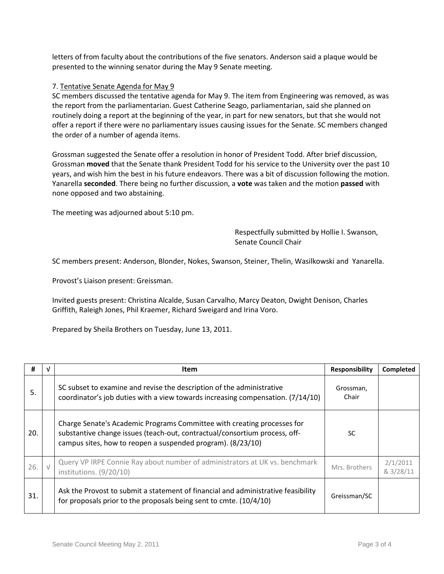letters of from faculty about the contributions of the five senators. Anderson said a plaque would be presented to the winning senator during the May 9 Senate meeting.

#### 7. Tentative Senate Agenda for May 9

SC members discussed the tentative agenda for May 9. The item from Engineering was removed, as was the report from the parliamentarian. Guest Catherine Seago, parliamentarian, said she planned on routinely doing a report at the beginning of the year, in part for new senators, but that she would not offer a report if there were no parliamentary issues causing issues for the Senate. SC members changed the order of a number of agenda items.

Grossman suggested the Senate offer a resolution in honor of President Todd. After brief discussion, Grossman **moved** that the Senate thank President Todd for his service to the University over the past 10 years, and wish him the best in his future endeavors. There was a bit of discussion following the motion. Yanarella **seconded**. There being no further discussion, a **vote** was taken and the motion **passed** with none opposed and two abstaining.

The meeting was adjourned about 5:10 pm.

Respectfully submitted by Hollie I. Swanson, Senate Council Chair

SC members present: Anderson, Blonder, Nokes, Swanson, Steiner, Thelin, Wasilkowski and Yanarella.

Provost's Liaison present: Greissman.

Invited guests present: Christina Alcalde, Susan Carvalho, Marcy Deaton, Dwight Denison, Charles Griffith, Raleigh Jones, Phil Kraemer, Richard Sweigard and Irina Voro.

Prepared by Sheila Brothers on Tuesday, June 13, 2011.

| #   |            | <b>Item</b>                                                                                                                                                                                                          | Responsibility     | <b>Completed</b>      |
|-----|------------|----------------------------------------------------------------------------------------------------------------------------------------------------------------------------------------------------------------------|--------------------|-----------------------|
| 5.  |            | SC subset to examine and revise the description of the administrative<br>coordinator's job duties with a view towards increasing compensation. (7/14/10)                                                             | Grossman,<br>Chair |                       |
| 20. |            | Charge Senate's Academic Programs Committee with creating processes for<br>substantive change issues (teach-out, contractual/consortium process, off-<br>campus sites, how to reopen a suspended program). (8/23/10) | SC                 |                       |
| 26. | $\sqrt{ }$ | Query VP IRPE Connie Ray about number of administrators at UK vs. benchmark<br>institutions. (9/20/10)                                                                                                               | Mrs. Brothers      | 2/1/2011<br>& 3/28/11 |
| 31. |            | Ask the Provost to submit a statement of financial and administrative feasibility<br>for proposals prior to the proposals being sent to cmte. (10/4/10)                                                              | Greissman/SC       |                       |